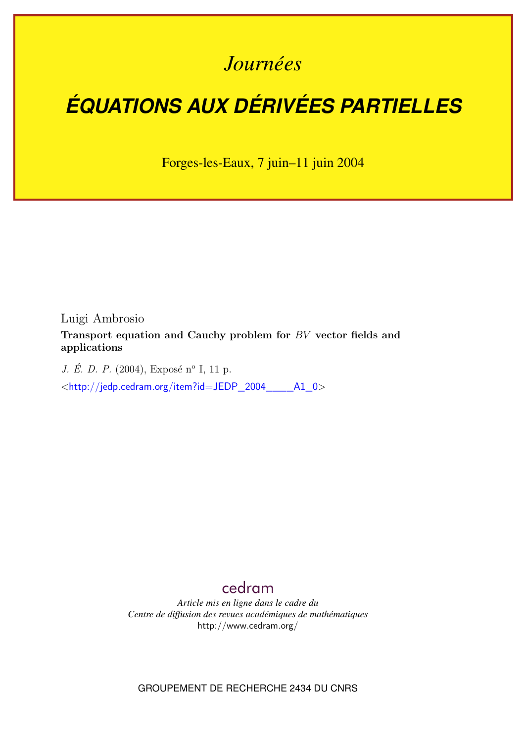# *Journées*

# *ÉQUATIONS AUX DÉRIVÉES PARTIELLES*

Forges-les-Eaux, 7 juin–11 juin 2004

Luigi Ambrosio

**Transport equation and Cauchy problem for** BV **vector fields and applications**

*J. É. D. P.* (2004), Exposé n<sup>o</sup> I, 11 p.

<[http://jedp.cedram.org/item?id=JEDP\\_2004\\_\\_\\_\\_A1\\_0](http://jedp.cedram.org/item?id=JEDP_2004____A1_0)>

# [cedram](http://www.cedram.org/)

*Article mis en ligne dans le cadre du Centre de diffusion des revues académiques de mathématiques* <http://www.cedram.org/>

GROUPEMENT DE RECHERCHE 2434 DU CNRS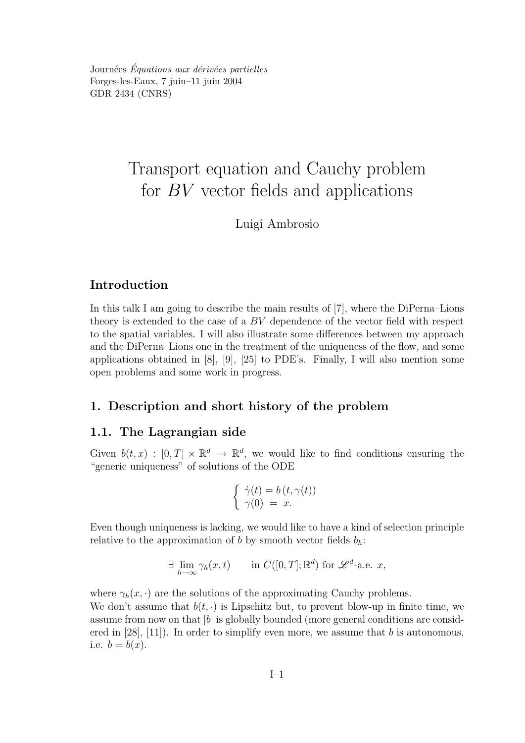Journées Équations aux dérivées partielles Forges-les-Eaux, 7 juin–11 juin 2004 GDR 2434 (CNRS)

# Transport equation and Cauchy problem for BV vector fields and applications

Luigi Ambrosio

# Introduction

In this talk I am going to describe the main results of [7], where the DiPerna–Lions theory is extended to the case of a BV dependence of the vector field with respect to the spatial variables. I will also illustrate some differences between my approach and the DiPerna–Lions one in the treatment of the uniqueness of the flow, and some applications obtained in [8], [9], [25] to PDE's. Finally, I will also mention some open problems and some work in progress.

## 1. Description and short history of the problem

## 1.1. The Lagrangian side

Given  $b(t, x) : [0, T] \times \mathbb{R}^d \to \mathbb{R}^d$ , we would like to find conditions ensuring the "generic uniqueness" of solutions of the ODE

$$
\begin{cases} \dot{\gamma}(t) = b(t, \gamma(t)) \\ \gamma(0) = x. \end{cases}
$$

Even though uniqueness is lacking, we would like to have a kind of selection principle relative to the approximation of b by smooth vector fields  $b_h$ :

$$
\exists \lim_{h \to \infty} \gamma_h(x, t) \qquad \text{in } C([0, T]; \mathbb{R}^d) \text{ for } \mathscr{L}^d \text{-a.e. } x,
$$

where  $\gamma_h(x, \cdot)$  are the solutions of the approximating Cauchy problems. We don't assume that  $b(t, \cdot)$  is Lipschitz but, to prevent blow-up in finite time, we assume from now on that  $|b|$  is globally bounded (more general conditions are considered in  $[28]$ ,  $[11]$ ). In order to simplify even more, we assume that b is autonomous, i.e.  $b = b(x)$ .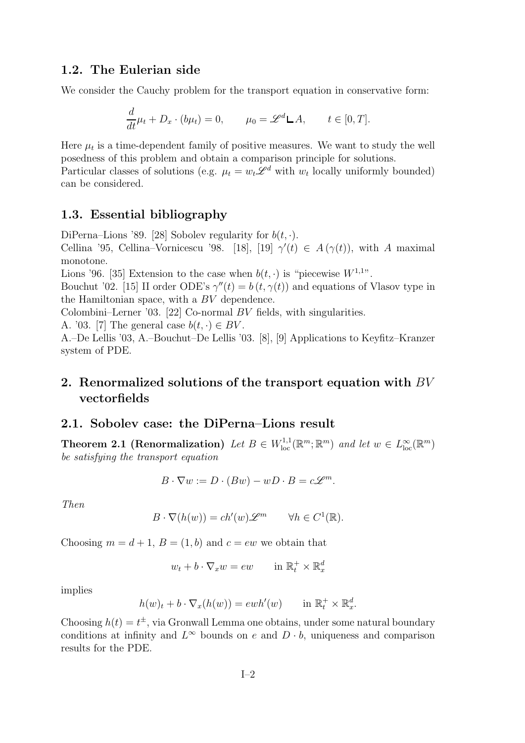#### 1.2. The Eulerian side

We consider the Cauchy problem for the transport equation in conservative form:

$$
\frac{d}{dt}\mu_t + D_x \cdot (b\mu_t) = 0, \qquad \mu_0 = \mathscr{L}^d \mathsf{L} A, \qquad t \in [0, T].
$$

Here  $\mu_t$  is a time-dependent family of positive measures. We want to study the well posedness of this problem and obtain a comparison principle for solutions. Particular classes of solutions (e.g.  $\mu_t = w_t \mathcal{L}^d$  with  $w_t$  locally uniformly bounded) can be considered.

#### 1.3. Essential bibliography

DiPerna–Lions '89. [28] Sobolev regularity for  $b(t, \cdot)$ . Cellina '95, Cellina–Vornicescu '98. [18], [19]  $\gamma'(t) \in A(\gamma(t))$ , with A maximal monotone. Lions '96. [35] Extension to the case when  $b(t, \cdot)$  is "piecewise  $W^{1,1}$ ".

Bouchut '02. [15] II order ODE's  $\gamma''(t) = b(t, \gamma(t))$  and equations of Vlasov type in the Hamiltonian space, with a BV dependence.

Colombini–Lerner '03. [22] Co-normal BV fields, with singularities.

A. '03. [7] The general case  $b(t, \cdot) \in BV$ .

A.–De Lellis '03, A.–Bouchut–De Lellis '03. [8], [9] Applications to Keyfitz–Kranzer system of PDE.

# 2. Renormalized solutions of the transport equation with  $BV$ vectorfields

#### 2.1. Sobolev case: the DiPerna–Lions result

Theorem 2.1 (Renormalization) Let  $B \in W^{1,1}_{loc}(\mathbb{R}^m;\mathbb{R}^m)$  and let  $w \in L^{\infty}_{loc}(\mathbb{R}^m)$ be satisfying the transport equation

$$
B \cdot \nabla w := D \cdot (Bw) - wD \cdot B = c\mathscr{L}^m.
$$

Then

$$
B \cdot \nabla(h(w)) = ch'(w) \mathscr{L}^m \qquad \forall h \in C^1(\mathbb{R}).
$$

Choosing  $m = d + 1$ ,  $B = (1, b)$  and  $c = ew$  we obtain that

$$
w_t + b \cdot \nabla_x w = ew \qquad \text{in } \mathbb{R}_t^+ \times \mathbb{R}_x^d
$$

implies

$$
h(w)_t + b \cdot \nabla_x(h(w)) = \operatorname{ewh}'(w) \qquad \text{in } \mathbb{R}_t^+ \times \mathbb{R}_x^d.
$$

Choosing  $h(t) = t^{\pm}$ , via Gronwall Lemma one obtains, under some natural boundary conditions at infinity and  $L^{\infty}$  bounds on e and  $D \cdot b$ , uniqueness and comparison results for the PDE.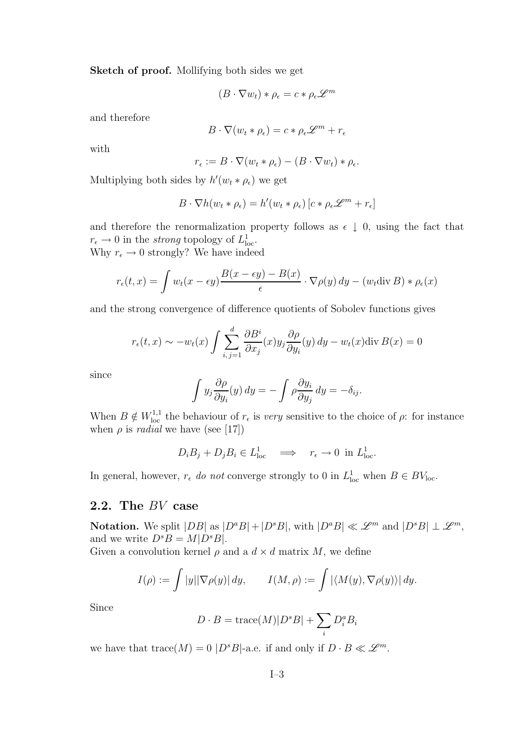Sketch of proof. Mollifying both sides we get

$$
(B\cdot\nabla w_t)*\rho_{\epsilon}=c*\rho_{\epsilon}\mathscr{L}^m
$$

and therefore

$$
B \cdot \nabla (w_t * \rho_\epsilon) = c * \rho_\epsilon \mathcal{L}^m + r_\epsilon
$$

with

$$
r_{\epsilon} := B \cdot \nabla (w_t * \rho_{\epsilon}) - (B \cdot \nabla w_t) * \rho_{\epsilon}.
$$

Multiplying both sides by  $h'(w_t * \rho_\epsilon)$  we get

$$
B \cdot \nabla h(w_t * \rho_\epsilon) = h'(w_t * \rho_\epsilon) [c * \rho_\epsilon \mathscr{L}^m + r_\epsilon]
$$

and therefore the renormalization property follows as  $\epsilon \downarrow 0$ , using the fact that  $r_{\epsilon} \to 0$  in the *strong* topology of  $L^1_{loc}$ .

Why  $r_{\epsilon} \rightarrow 0$  strongly? We have indeed

$$
r_{\epsilon}(t,x) = \int w_t(x - \epsilon y) \frac{B(x - \epsilon y) - B(x)}{\epsilon} \cdot \nabla \rho(y) dy - (w_t \operatorname{div} B) * \rho_{\epsilon}(x)
$$

and the strong convergence of difference quotients of Sobolev functions gives

$$
r_{\epsilon}(t,x) \sim -w_t(x) \int \sum_{i,j=1}^d \frac{\partial B^i}{\partial x_j}(x) y_j \frac{\partial \rho}{\partial y_i}(y) dy - w_t(x) \text{div } B(x) = 0
$$

since

$$
\int y_j \frac{\partial \rho}{\partial y_i}(y) dy = - \int \rho \frac{\partial y_i}{\partial y_j} dy = -\delta_{ij}.
$$

When  $B \notin W^{1,1}_{loc}$  the behaviour of  $r_{\epsilon}$  is very sensitive to the choice of  $\rho$ : for instance when  $\rho$  is *radial* we have (see [17])

$$
D_i B_j + D_j B_i \in L^1_{loc} \implies r_{\epsilon} \to 0 \text{ in } L^1_{loc}.
$$

In general, however,  $r_{\epsilon}$  do not converge strongly to 0 in  $L_{\text{loc}}^1$  when  $B \in BV_{\text{loc}}$ .

#### 2.2. The BV case

**Notation.** We split  $|DB|$  as  $|D^aB| + |D^sB|$ , with  $|D^aB| \ll \mathscr{L}^m$  and  $|D^sB| \perp \mathscr{L}^m$ , and we write  $D^sB = M[D^sB]$ .

Given a convolution kernel  $\rho$  and a  $d \times d$  matrix M, we define

$$
I(\rho) := \int |y| |\nabla \rho(y)| dy, \qquad I(M, \rho) := \int |\langle M(y), \nabla \rho(y) \rangle| dy.
$$

Since

$$
D \cdot B = \operatorname{trace}(M) |D^s B| + \sum_i D_i^a B_i
$$

we have that  $\text{trace}(M) = 0$  |D<sup>s</sup>B|-a.e. if and only if  $D \cdot B \ll \mathscr{L}^m$ .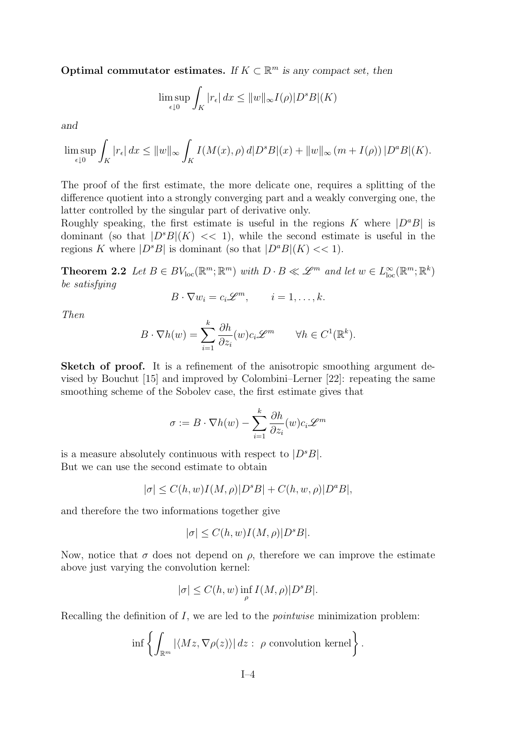Optimal commutator estimates. If  $K \subset \mathbb{R}^m$  is any compact set, then

$$
\limsup_{\epsilon \downarrow 0} \int_K |r_{\epsilon}| \, dx \le ||w||_{\infty} I(\rho)|D^s B|(K)
$$

and

$$
\limsup_{\epsilon \downarrow 0} \int_K |r_{\epsilon}| dx \le ||w||_{\infty} \int_K I(M(x), \rho) d|D^s B|(x) + ||w||_{\infty} (m + I(\rho)) |D^a B|(K).
$$

The proof of the first estimate, the more delicate one, requires a splitting of the difference quotient into a strongly converging part and a weakly converging one, the latter controlled by the singular part of derivative only.

Roughly speaking, the first estimate is useful in the regions K where  $|D^aB|$  is dominant (so that  $|D^sB|(K) \ll 1$ ), while the second estimate is useful in the regions K where  $|D^sB|$  is dominant (so that  $|D^aB|(K)<<1)$ .

**Theorem 2.2** Let  $B \in BV_{loc}(\mathbb{R}^m; \mathbb{R}^m)$  with  $D \cdot B \ll \mathscr{L}^m$  and let  $w \in L^{\infty}_{loc}(\mathbb{R}^m; \mathbb{R}^k)$ be satisfying

$$
B\cdot \nabla w_i=c_i\mathscr{L}^m,\qquad i=1,\ldots,k.
$$

Then

$$
B \cdot \nabla h(w) = \sum_{i=1}^{k} \frac{\partial h}{\partial z_i}(w) c_i \mathscr{L}^m \qquad \forall h \in C^1(\mathbb{R}^k).
$$

Sketch of proof. It is a refinement of the anisotropic smoothing argument devised by Bouchut [15] and improved by Colombini–Lerner [22]: repeating the same smoothing scheme of the Sobolev case, the first estimate gives that

$$
\sigma := B \cdot \nabla h(w) - \sum_{i=1}^{k} \frac{\partial h}{\partial z_i}(w) c_i \mathscr{L}^m
$$

is a measure absolutely continuous with respect to  $|D^sB|$ . But we can use the second estimate to obtain

$$
|\sigma| \le C(h, w)I(M, \rho)|D^sB| + C(h, w, \rho)|D^aB|,
$$

and therefore the two informations together give

$$
|\sigma|\leq C(h,w)I(M,\rho)|D^sB|.
$$

Now, notice that  $\sigma$  does not depend on  $\rho$ , therefore we can improve the estimate above just varying the convolution kernel:

$$
|\sigma| \le C(h, w) \inf_{\rho} I(M, \rho)|D^s B|.
$$

Recalling the definition of  $I$ , we are led to the *pointwise* minimization problem:

$$
\inf \left\{ \int_{\mathbb{R}^m} |\langle Mz, \nabla \rho(z) \rangle| dz : \rho \text{ convolution kernel} \right\}.
$$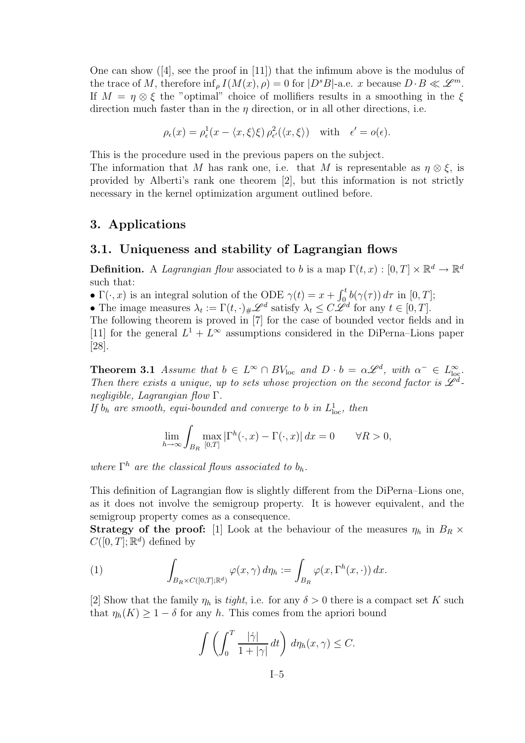One can show  $([4], \text{ see the proof in } [11])$  that the infimum above is the modulus of the trace of M, therefore  $\inf_{\rho} I(M(x), \rho) = 0$  for  $|D^sB|$ -a.e. x because  $D \cdot B \ll \mathscr{L}^m$ . If  $M = \eta \otimes \xi$  the "optimal" choice of mollifiers results in a smoothing in the  $\xi$ direction much faster than in the  $\eta$  direction, or in all other directions, i.e.

$$
\rho_{\epsilon}(x) = \rho_{\epsilon}^{1}(x - \langle x, \xi \rangle \xi) \rho_{\epsilon'}^{2}(\langle x, \xi \rangle) \quad \text{with} \quad \epsilon' = o(\epsilon).
$$

This is the procedure used in the previous papers on the subject.

The information that M has rank one, i.e. that M is representable as  $\eta \otimes \xi$ , is provided by Alberti's rank one theorem [2], but this information is not strictly necessary in the kernel optimization argument outlined before.

#### 3. Applications

#### 3.1. Uniqueness and stability of Lagrangian flows

**Definition.** A Lagrangian flow associated to b is a map  $\Gamma(t, x) : [0, T] \times \mathbb{R}^d \to \mathbb{R}^d$ such that:

•  $\Gamma(\cdot, x)$  is an integral solution of the ODE  $\gamma(t) = x + \int_0^t b(\gamma(\tau)) d\tau$  in  $[0, T]$ ;

• The image measures  $\lambda_t := \Gamma(t, \cdot)_{\#} \mathscr{L}^d$  satisfy  $\lambda_t \leq C \mathscr{L}^d$  for any  $t \in [0, T]$ .

The following theorem is proved in [7] for the case of bounded vector fields and in [11] for the general  $L^1 + L^{\infty}$  assumptions considered in the DiPerna–Lions paper [28].

**Theorem 3.1** Assume that  $b \in L^{\infty} \cap BV_{loc}$  and  $D \cdot b = \alpha \mathscr{L}^d$ , with  $\alpha^{-} \in L^{\infty}_{loc}$ . Then there exists a unique, up to sets whose projection on the second factor is  $\tilde{\mathscr{L}}^d$ negligible, Lagrangian flow Γ.

If  $b_h$  are smooth, equi-bounded and converge to b in  $L^1_{loc}$ , then

$$
\lim_{h \to \infty} \int_{B_R} \max_{[0,T]} |\Gamma^h(\cdot, x) - \Gamma(\cdot, x)| \, dx = 0 \qquad \forall R > 0,
$$

where  $\Gamma^h$  are the classical flows associated to  $b_h$ .

This definition of Lagrangian flow is slightly different from the DiPerna–Lions one, as it does not involve the semigroup property. It is however equivalent, and the semigroup property comes as a consequence.

**Strategy of the proof:** [1] Look at the behaviour of the measures  $\eta_h$  in  $B_R \times$  $C([0,T];\mathbb{R}^d)$  defined by

(1) 
$$
\int_{B_R \times C([0,T];\mathbb{R}^d)} \varphi(x,\gamma) d\eta_h := \int_{B_R} \varphi(x,\Gamma^h(x,\cdot)) dx.
$$

[2] Show that the family  $\eta_h$  is tight, i.e. for any  $\delta > 0$  there is a compact set K such that  $\eta_h(K) \geq 1 - \delta$  for any h. This comes from the apriori bound

$$
\int \left( \int_0^T \frac{|\dot{\gamma}|}{1+|\gamma|} dt \right) d\eta_h(x,\gamma) \leq C.
$$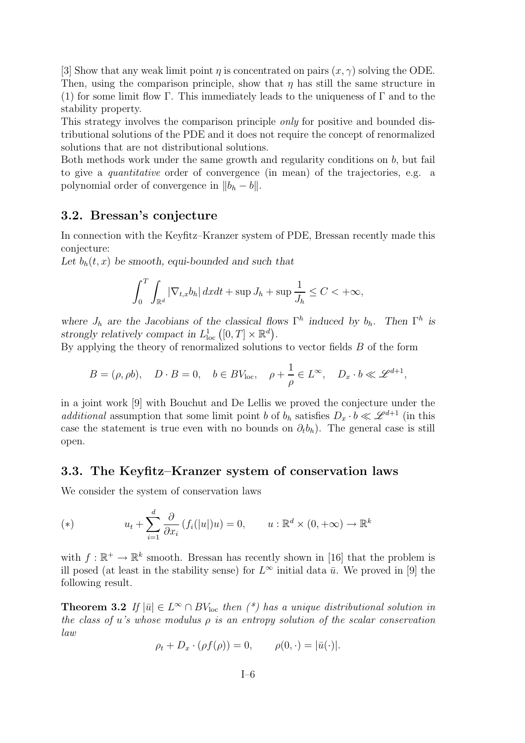[3] Show that any weak limit point  $\eta$  is concentrated on pairs  $(x, \gamma)$  solving the ODE. Then, using the comparison principle, show that  $\eta$  has still the same structure in (1) for some limit flow Γ. This immediately leads to the uniqueness of  $\Gamma$  and to the stability property.

This strategy involves the comparison principle only for positive and bounded distributional solutions of the PDE and it does not require the concept of renormalized solutions that are not distributional solutions.

Both methods work under the same growth and regularity conditions on b, but fail to give a quantitative order of convergence (in mean) of the trajectories, e.g. a polynomial order of convergence in  $||b_h - b||$ .

#### 3.2. Bressan's conjecture

In connection with the Keyfitz–Kranzer system of PDE, Bressan recently made this conjecture:

Let  $b_h(t, x)$  be smooth, equi-bounded and such that

$$
\int_0^T \int_{\mathbb{R}^d} |\nabla_{t,x} b_h| \, dx dt + \sup J_h + \sup \frac{1}{J_h} \le C < +\infty,
$$

where  $J_h$  are the Jacobians of the classical flows  $\Gamma^h$  induced by  $b_h$ . Then  $\Gamma^h$  is strongly relatively compact in  $L^1_{loc}([0,T] \times \mathbb{R}^d)$ .

By applying the theory of renormalized solutions to vector fields  $B$  of the form

$$
B = (\rho, \rho b), \quad D \cdot B = 0, \quad b \in BV_{\text{loc}}, \quad \rho + \frac{1}{\rho} \in L^{\infty}, \quad D_x \cdot b \ll \mathcal{L}^{d+1},
$$

in a joint work [9] with Bouchut and De Lellis we proved the conjecture under the additional assumption that some limit point b of  $b_h$  satisfies  $D_x \cdot b \ll \mathscr{L}^{d+1}$  (in this case the statement is true even with no bounds on  $\partial_t b_h$ ). The general case is still open.

## 3.3. The Keyfitz–Kranzer system of conservation laws

We consider the system of conservation laws

(\*) 
$$
u_t + \sum_{i=1}^d \frac{\partial}{\partial x_i} (f_i(|u|)u) = 0, \qquad u : \mathbb{R}^d \times (0, +\infty) \to \mathbb{R}^k
$$

with  $f : \mathbb{R}^+ \to \mathbb{R}^k$  smooth. Bressan has recently shown in [16] that the problem is ill posed (at least in the stability sense) for  $L^{\infty}$  initial data  $\bar{u}$ . We proved in [9] the following result.

**Theorem 3.2** If  $|\bar{u}| \in L^{\infty} \cap BV_{\text{loc}}$  then  $(*)$  has a unique distributional solution in the class of u's whose modulus  $\rho$  is an entropy solution of the scalar conservation law

$$
\rho_t + D_x \cdot (\rho f(\rho)) = 0, \qquad \rho(0, \cdot) = |\bar{u}(\cdot)|.
$$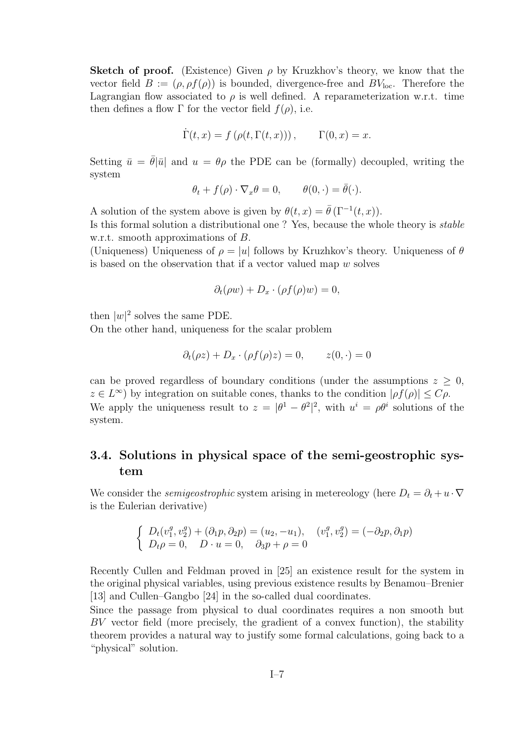**Sketch of proof.** (Existence) Given  $\rho$  by Kruzkhov's theory, we know that the vector field  $B := (\rho, \rho f(\rho))$  is bounded, divergence-free and  $BV_{loc}$ . Therefore the Lagrangian flow associated to  $\rho$  is well defined. A reparameterization w.r.t. time then defines a flow  $\Gamma$  for the vector field  $f(\rho)$ , i.e.

$$
\dot{\Gamma}(t,x) = f(\rho(t,\Gamma(t,x))), \qquad \Gamma(0,x) = x.
$$

Setting  $\bar{u} = \bar{\theta}|\bar{u}|$  and  $u = \theta \rho$  the PDE can be (formally) decoupled, writing the system

$$
\theta_t + f(\rho) \cdot \nabla_x \theta = 0, \qquad \theta(0, \cdot) = \bar{\theta}(\cdot).
$$

A solution of the system above is given by  $\theta(t,x) = \overline{\theta}(\Gamma^{-1}(t,x)).$ 

Is this formal solution a distributional one ? Yes, because the whole theory is stable w.r.t. smooth approximations of B.

(Uniqueness) Uniqueness of  $\rho = |u|$  follows by Kruzhkov's theory. Uniqueness of  $\theta$ is based on the observation that if a vector valued map w solves

$$
\partial_t(\rho w) + D_x \cdot (\rho f(\rho) w) = 0,
$$

then  $|w|^2$  solves the same PDE.

On the other hand, uniqueness for the scalar problem

$$
\partial_t(\rho z) + D_x \cdot (\rho f(\rho) z) = 0, \qquad z(0, \cdot) = 0
$$

can be proved regardless of boundary conditions (under the assumptions  $z \geq 0$ ,  $z \in L^{\infty}$ ) by integration on suitable cones, thanks to the condition  $|\rho f(\rho)| \leq C \rho$ . We apply the uniqueness result to  $z = |\theta^1 - \theta^2|^2$ , with  $u^i = \rho \theta^i$  solutions of the system.

# 3.4. Solutions in physical space of the semi-geostrophic system

We consider the *semigeostrophic* system arising in metereology (here  $D_t = \partial_t + u \cdot \nabla$ is the Eulerian derivative)

$$
\begin{cases}\nD_t(v_1^g, v_2^g) + (\partial_1 p, \partial_2 p) = (u_2, -u_1), & (v_1^g, v_2^g) = (-\partial_2 p, \partial_1 p) \\
D_t \rho = 0, & D \cdot u = 0, \quad \partial_3 p + \rho = 0\n\end{cases}
$$

Recently Cullen and Feldman proved in [25] an existence result for the system in the original physical variables, using previous existence results by Benamou–Brenier [13] and Cullen–Gangbo [24] in the so-called dual coordinates.

Since the passage from physical to dual coordinates requires a non smooth but BV vector field (more precisely, the gradient of a convex function), the stability theorem provides a natural way to justify some formal calculations, going back to a "physical" solution.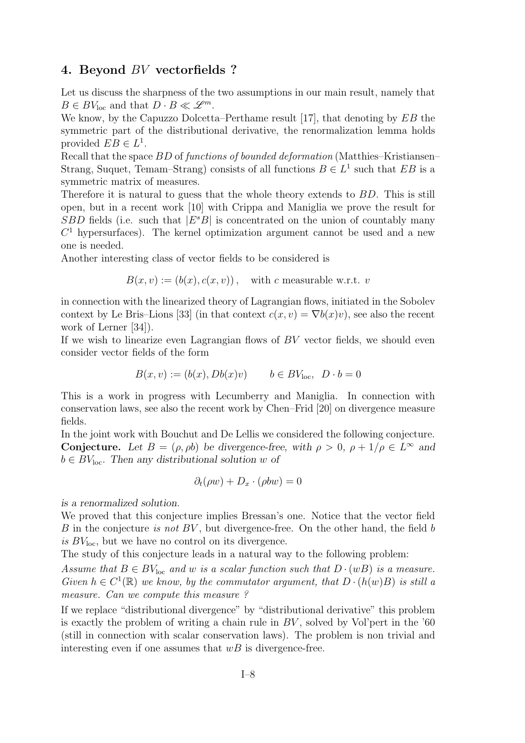#### 4. Beyond BV vectorfields ?

Let us discuss the sharpness of the two assumptions in our main result, namely that  $B \in BV_{\text{loc}}$  and that  $D \cdot B \ll \mathscr{L}^m$ .

We know, by the Capuzzo Dolcetta–Perthame result [17], that denoting by EB the symmetric part of the distributional derivative, the renormalization lemma holds provided  $EB \in L^1$ .

Recall that the space BD of functions of bounded deformation (Matthies–Kristiansen– Strang, Suquet, Temam–Strang) consists of all functions  $B \in L^1$  such that  $EB$  is a symmetric matrix of measures.

Therefore it is natural to guess that the whole theory extends to BD. This is still open, but in a recent work [10] with Crippa and Maniglia we prove the result for  $SBD$  fields (i.e. such that  $|E^sB|$  is concentrated on the union of countably many  $C<sup>1</sup>$  hypersurfaces). The kernel optimization argument cannot be used and a new one is needed.

Another interesting class of vector fields to be considered is

$$
B(x, v) := (b(x), c(x, v)), \text{ with } c \text{ measurable w.r.t. } v
$$

in connection with the linearized theory of Lagrangian flows, initiated in the Sobolev context by Le Bris–Lions [33] (in that context  $c(x, v) = \nabla b(x)v$ ), see also the recent work of Lerner [34]).

If we wish to linearize even Lagrangian flows of  $BV$  vector fields, we should even consider vector fields of the form

$$
B(x, v) := (b(x), Db(x)v) \qquad b \in BVloc, \ D \cdot b = 0
$$

This is a work in progress with Lecumberry and Maniglia. In connection with conservation laws, see also the recent work by Chen–Frid [20] on divergence measure fields.

In the joint work with Bouchut and De Lellis we considered the following conjecture. **Conjecture.** Let  $B = (\rho, \rho b)$  be divergence-free, with  $\rho > 0$ ,  $\rho + 1/\rho \in L^{\infty}$  and  $b \in BV<sub>loc</sub>$ . Then any distributional solution w of

$$
\partial_t(\rho w) + D_x \cdot (\rho b w) = 0
$$

is a renormalized solution.

We proved that this conjecture implies Bressan's one. Notice that the vector field B in the conjecture is not  $BV$ , but divergence-free. On the other hand, the field b is  $BV<sub>loc</sub>$ , but we have no control on its divergence.

The study of this conjecture leads in a natural way to the following problem:

Assume that  $B \in BV_{loc}$  and w is a scalar function such that  $D \cdot (wB)$  is a measure. Given  $h \in C^1(\mathbb{R})$  we know, by the commutator argument, that  $D \cdot (h(w)B)$  is still a measure. Can we compute this measure ?

If we replace "distributional divergence" by "distributional derivative" this problem is exactly the problem of writing a chain rule in  $BV$ , solved by Vol'pert in the '60 (still in connection with scalar conservation laws). The problem is non trivial and interesting even if one assumes that  $wB$  is divergence-free.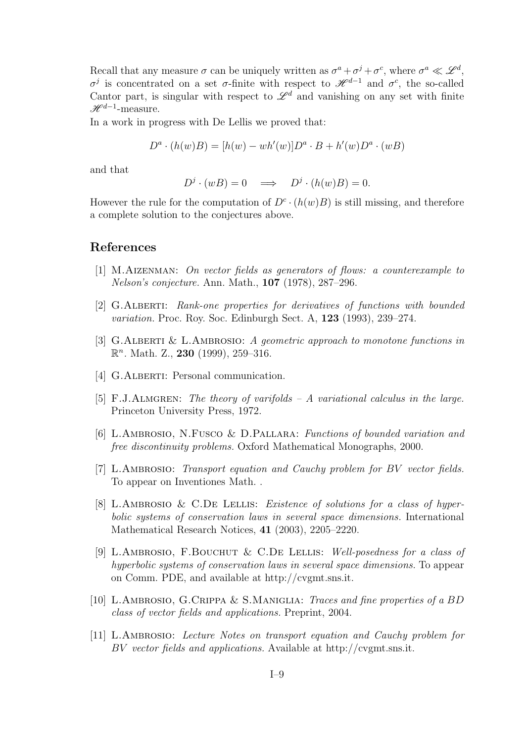Recall that any measure  $\sigma$  can be uniquely written as  $\sigma^a + \sigma^j + \sigma^c$ , where  $\sigma^a \ll \mathscr{L}^d$ , σ<sup>j</sup> is concentrated on a set σ-finite with respect to  $\mathcal{H}^{d-1}$  and σ<sup>c</sup>, the so-called Cantor part, is singular with respect to  $\mathscr{L}^d$  and vanishing on any set with finite  $\mathscr{H}^{d-1}$ -measure.

In a work in progress with De Lellis we proved that:

$$
D^a \cdot (h(w)B) = [h(w) - wh'(w)]D^a \cdot B + h'(w)D^a \cdot (wB)
$$

and that

$$
D^j \cdot (wB) = 0 \quad \Longrightarrow \quad D^j \cdot (h(w)B) = 0.
$$

However the rule for the computation of  $D^c \cdot (h(w)B)$  is still missing, and therefore a complete solution to the conjectures above.

# References

- [1] M.Aizenman: On vector fields as generators of flows: a counterexample to Nelson's conjecture. Ann. Math., 107 (1978), 287–296.
- [2] G.Alberti: Rank-one properties for derivatives of functions with bounded variation. Proc. Roy. Soc. Edinburgh Sect. A, 123 (1993), 239–274.
- [3] G.ALBERTI & L.AMBROSIO: A geometric approach to monotone functions in  $\mathbb{R}^n$ . Math. Z., 230 (1999), 259-316.
- [4] G.ALBERTI: Personal communication.
- [5] F.J.ALMGREN: The theory of varifolds  $-A$  variational calculus in the large. Princeton University Press, 1972.
- [6] L.Ambrosio, N.Fusco & D.Pallara: Functions of bounded variation and free discontinuity problems. Oxford Mathematical Monographs, 2000.
- [7] L.AMBROSIO: Transport equation and Cauchy problem for BV vector fields. To appear on Inventiones Math. .
- [8] L.AMBROSIO & C.DE LELLIS: *Existence of solutions for a class of hyper*bolic systems of conservation laws in several space dimensions. International Mathematical Research Notices, 41 (2003), 2205–2220.
- [9] L.Ambrosio, F.Bouchut & C.De Lellis: Well-posedness for a class of hyperbolic systems of conservation laws in several space dimensions. To appear on Comm. PDE, and available at http://cvgmt.sns.it.
- [10] L.Ambrosio, G.Crippa & S.Maniglia: Traces and fine properties of a BD class of vector fields and applications. Preprint, 2004.
- [11] L.Ambrosio: Lecture Notes on transport equation and Cauchy problem for BV vector fields and applications. Available at http://cvgmt.sns.it.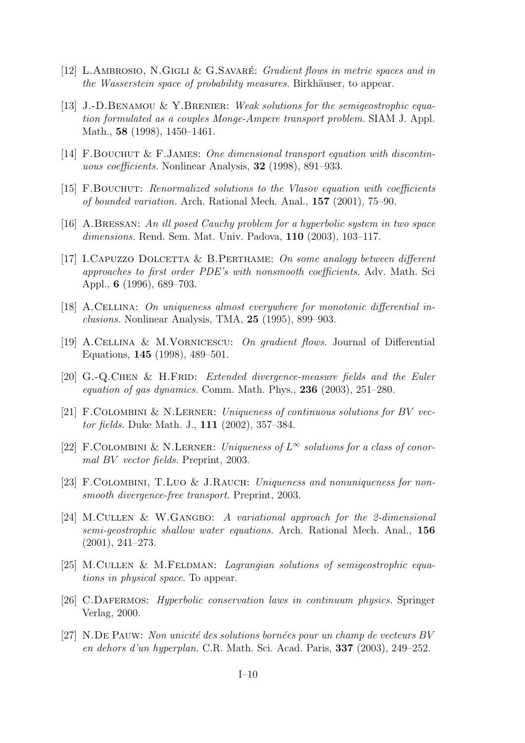- [12] L.AMBROSIO, N.GIGLI & G.SAVARÉ: Gradient flows in metric spaces and in the Wasserstein space of probability measures. Birkhäuser, to appear.
- [13] J.-D.BENAMOU & Y.BRENIER: Weak solutions for the semigeostrophic equation formulated as a couples Monge-Ampere transport problem. SIAM J. Appl. Math., 58 (1998), 1450–1461.
- [14] F.Bouchut & F.James: One dimensional transport equation with discontinuous coefficients. Nonlinear Analysis, 32 (1998), 891–933.
- [15] F.Bouchut: Renormalized solutions to the Vlasov equation with coefficients of bounded variation. Arch. Rational Mech. Anal., 157 (2001), 75–90.
- [16] A.Bressan: An ill posed Cauchy problem for a hyperbolic system in two space dimensions. Rend. Sem. Mat. Univ. Padova, 110 (2003), 103–117.
- [17] I.Capuzzo Dolcetta & B.Perthame: On some analogy between different approaches to first order PDE's with nonsmooth coefficients. Adv. Math. Sci Appl., 6 (1996), 689–703.
- [18] A.Cellina: On uniqueness almost everywhere for monotonic differential inclusions. Nonlinear Analysis, TMA, 25 (1995), 899–903.
- [19] A.Cellina & M.Vornicescu: On gradient flows. Journal of Differential Equations, 145 (1998), 489–501.
- [20] G.-Q.CHEN & H.FRID: Extended divergence-measure fields and the Euler equation of gas dynamics. Comm. Math. Phys., 236 (2003), 251–280.
- [21] F.COLOMBINI & N.LERNER: Uniqueness of continuous solutions for BV vector fields. Duke Math. J., 111 (2002), 357–384.
- [22] F.COLOMBINI & N.LERNER: Uniqueness of  $L^{\infty}$  solutions for a class of conormal BV vector fields. Preprint, 2003.
- [23] F.COLOMBINI, T.Luo & J.RAUCH: Uniqueness and nonuniqueness for nonsmooth divergence-free transport. Preprint, 2003.
- [24] M.Cullen & W.Gangbo: A variational approach for the 2-dimensional semi-geostrophic shallow water equations. Arch. Rational Mech. Anal., 156 (2001), 241–273.
- [25] M.CULLEN & M.FELDMAN: *Lagrangian solutions of semigeostrophic equa*tions in physical space. To appear.
- [26] C.Dafermos: Hyperbolic conservation laws in continuum physics. Springer Verlag, 2000.
- [27] N.DE PAUW: Non unicité des solutions bornées pour un champ de vecteurs BV en dehors d'un hyperplan. C.R. Math. Sci. Acad. Paris, 337 (2003), 249–252.